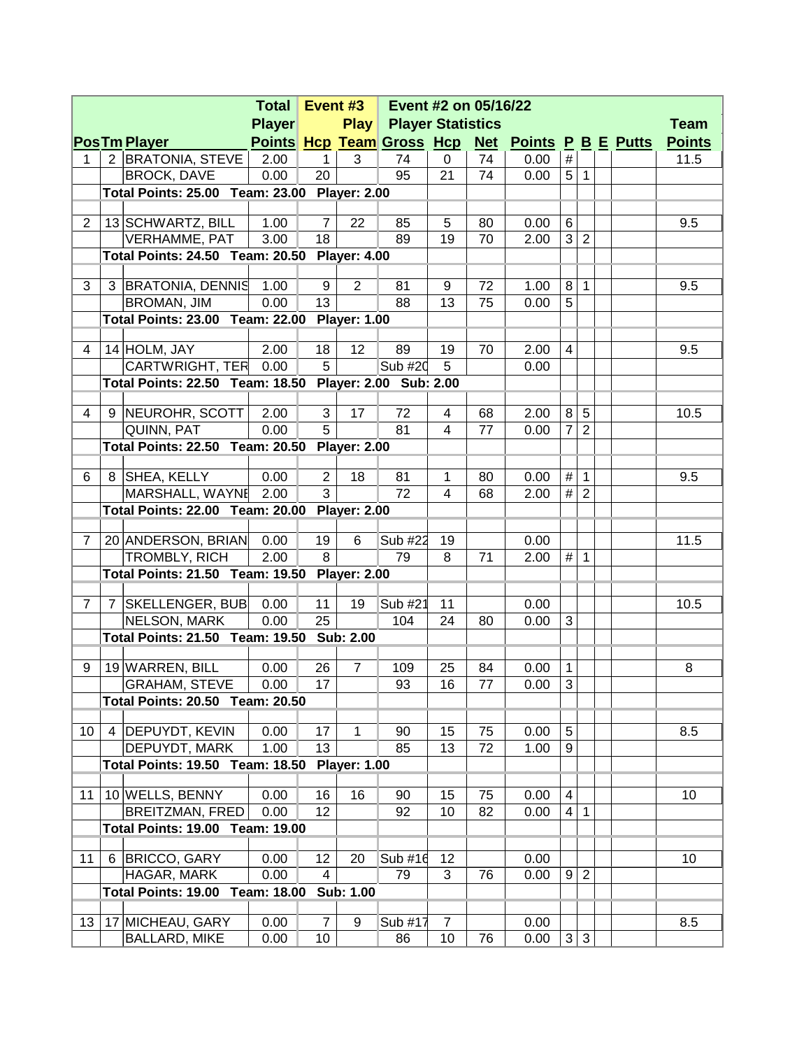|                |   |                                                        | <b>Total</b>                                                                     | Event #3       |                     |                               |                     |          |                    |                     |                              |  |  |                              |
|----------------|---|--------------------------------------------------------|----------------------------------------------------------------------------------|----------------|---------------------|-------------------------------|---------------------|----------|--------------------|---------------------|------------------------------|--|--|------------------------------|
|                |   |                                                        | Event #2 on 05/16/22<br><b>Player</b><br><b>Player Statistics</b><br><b>Play</b> |                |                     |                               |                     |          |                    |                     |                              |  |  |                              |
|                |   | <b>PosTm Player</b>                                    |                                                                                  |                |                     | Points Hcp Team Gross Hcp Net |                     |          | Points P B E Putts |                     |                              |  |  | <b>Team</b><br><b>Points</b> |
| 1              |   | 2 BRATONIA, STEVE                                      | 2.00                                                                             | 1              | 3                   | 74                            | $\mathbf 0$         | 74       | 0.00               | $\#$                |                              |  |  | 11.5                         |
|                |   | <b>BROCK, DAVE</b>                                     | 0.00                                                                             | 20             |                     | 95                            | 21                  | 74       | 0.00               | 5 <sup>1</sup>      | $\mathbf{1}$                 |  |  |                              |
|                |   | Total Points: 25.00 Team: 23.00 Player: 2.00           |                                                                                  |                |                     |                               |                     |          |                    |                     |                              |  |  |                              |
|                |   |                                                        |                                                                                  |                |                     |                               |                     |          |                    |                     |                              |  |  |                              |
| $\overline{2}$ |   | 13 SCHWARTZ, BILL                                      | 1.00                                                                             | 7              | 22                  | 85                            | 5                   | 80       | 0.00               | 6                   |                              |  |  | 9.5                          |
|                |   | VERHAMME, PAT                                          | 3.00                                                                             | 18             |                     | 89                            | 19                  | 70       | 2.00               | 3 <sup>1</sup>      | $\overline{2}$               |  |  |                              |
|                |   | Total Points: 24.50 Team: 20.50 Player: 4.00           |                                                                                  |                |                     |                               |                     |          |                    |                     |                              |  |  |                              |
|                |   |                                                        |                                                                                  |                |                     |                               |                     |          |                    |                     |                              |  |  |                              |
| 3              |   | 3 BRATONIA, DENNIS                                     | 1.00                                                                             | 9              | $\overline{2}$      | 81                            | 9                   | 72       | 1.00               | 8                   | $\mathbf{1}$                 |  |  | 9.5                          |
|                |   | BROMAN, JIM                                            | 0.00                                                                             | 13             |                     | 88                            | 13                  | 75       | 0.00               | 5                   |                              |  |  |                              |
|                |   | Total Points: 23.00 Team: 22.00 Player: 1.00           |                                                                                  |                |                     |                               |                     |          |                    |                     |                              |  |  |                              |
|                |   |                                                        |                                                                                  |                |                     |                               |                     |          |                    |                     |                              |  |  |                              |
| 4              |   | 14 HOLM, JAY                                           | 2.00                                                                             | 18             | 12                  | 89                            | 19                  | 70       | 2.00               | $\overline{4}$      |                              |  |  | 9.5                          |
|                |   | CARTWRIGHT, TER                                        | 0.00                                                                             | 5              |                     | Sub #20                       | 5                   |          | 0.00               |                     |                              |  |  |                              |
|                |   | Total Points: 22.50 Team: 18.50 Player: 2.00 Sub: 2.00 |                                                                                  |                |                     |                               |                     |          |                    |                     |                              |  |  |                              |
|                |   |                                                        |                                                                                  | 3              |                     |                               |                     |          |                    |                     |                              |  |  |                              |
| 4              |   | 9 NEUROHR, SCOTT<br>QUINN, PAT                         | 2.00<br>0.00                                                                     | $\overline{5}$ | 17                  | 72<br>81                      | 4<br>$\overline{4}$ | 68<br>77 | 2.00<br>0.00       | 8<br>$\overline{7}$ | $\sqrt{5}$<br>$\overline{2}$ |  |  | 10.5                         |
|                |   | Total Points: 22.50 Team: 20.50 Player: 2.00           |                                                                                  |                |                     |                               |                     |          |                    |                     |                              |  |  |                              |
|                |   |                                                        |                                                                                  |                |                     |                               |                     |          |                    |                     |                              |  |  |                              |
| 6              | 8 | SHEA, KELLY                                            | 0.00                                                                             | $\overline{2}$ | 18                  | 81                            | 1                   | 80       | 0.00               | #                   | 1                            |  |  | 9.5                          |
|                |   | MARSHALL, WAYNE                                        | 2.00                                                                             | 3              |                     | 72                            | 4                   | 68       | 2.00               | #                   | $\overline{2}$               |  |  |                              |
|                |   | Total Points: 22.00 Team: 20.00 Player: 2.00           |                                                                                  |                |                     |                               |                     |          |                    |                     |                              |  |  |                              |
|                |   |                                                        |                                                                                  |                |                     |                               |                     |          |                    |                     |                              |  |  |                              |
| $\overline{7}$ |   | 20 ANDERSON, BRIAN                                     | 0.00                                                                             | 19             | 6                   | Sub #22                       | 19                  |          | 0.00               |                     |                              |  |  | 11.5                         |
|                |   | TROMBLY, RICH                                          | 2.00                                                                             | 8              |                     | 79                            | 8                   | 71       | 2.00               | #                   | $\mathbf{1}$                 |  |  |                              |
|                |   | Total Points: 21.50 Team: 19.50 Player: 2.00           |                                                                                  |                |                     |                               |                     |          |                    |                     |                              |  |  |                              |
|                |   |                                                        |                                                                                  |                |                     |                               |                     |          |                    |                     |                              |  |  |                              |
| 7              |   | 7   SKELLENGER, BUB                                    | 0.00                                                                             | 11             | 19                  | Sub #21                       | 11                  |          | 0.00               |                     |                              |  |  | 10.5                         |
|                |   | NELSON, MARK                                           | 0.00                                                                             | 25             |                     | 104                           | 24                  | 80       | 0.00               | 3                   |                              |  |  |                              |
|                |   | Total Points: 21.50 Team: 19.50 Sub: 2.00              |                                                                                  |                |                     |                               |                     |          |                    |                     |                              |  |  |                              |
|                |   |                                                        |                                                                                  |                |                     |                               |                     |          |                    |                     |                              |  |  |                              |
| 9              |   | 19 WARREN, BILL                                        | 0.00                                                                             | 26             | 7                   | 109                           | 25                  | 84       | 0.00               | 1                   |                              |  |  | 8                            |
|                |   | <b>GRAHAM, STEVE</b>                                   | 0.00                                                                             | 17             |                     | 93                            | 16                  | 77       | 0.00               | 3                   |                              |  |  |                              |
|                |   | <b>Total Points: 20.50 Team: 20.50</b>                 |                                                                                  |                |                     |                               |                     |          |                    |                     |                              |  |  |                              |
|                |   |                                                        |                                                                                  |                |                     |                               |                     |          |                    |                     |                              |  |  |                              |
| 10             | 4 | <b>DEPUYDT, KEVIN</b>                                  | 0.00                                                                             | 17<br>13       | 1                   | 90                            | 15                  | 75       | 0.00               | 5                   |                              |  |  | 8.5                          |
|                |   | DEPUYDT, MARK                                          | 1.00                                                                             |                |                     | 85                            | 13                  | 72       | 1.00               | 9                   |                              |  |  |                              |
|                |   | <b>Total Points: 19.50 Team: 18.50</b>                 |                                                                                  |                | <b>Player: 1.00</b> |                               |                     |          |                    |                     |                              |  |  |                              |
| 11             |   | 10 WELLS, BENNY                                        | 0.00                                                                             | 16             | 16                  | 90                            | 15                  | 75       | 0.00               | 4                   |                              |  |  | 10                           |
|                |   | <b>BREITZMAN, FRED</b>                                 | 0.00                                                                             | 12             |                     | 92                            | 10                  | 82       | 0.00               | $\vert 4 \vert$     | $\mathbf{1}$                 |  |  |                              |
|                |   | <b>Total Points: 19.00 Team: 19.00</b>                 |                                                                                  |                |                     |                               |                     |          |                    |                     |                              |  |  |                              |
|                |   |                                                        |                                                                                  |                |                     |                               |                     |          |                    |                     |                              |  |  |                              |
| 11             | 6 | <b>BRICCO, GARY</b>                                    | 0.00                                                                             | 12             | 20                  | Sub #16                       | 12                  |          | 0.00               |                     |                              |  |  | 10                           |
|                |   | HAGAR, MARK                                            | 0.00                                                                             | 4              |                     | 79                            | 3                   | 76       | 0.00               | 9 <sup>1</sup>      | 2                            |  |  |                              |
|                |   | <b>Total Points: 19.00 Team: 18.00</b>                 |                                                                                  |                | <b>Sub: 1.00</b>    |                               |                     |          |                    |                     |                              |  |  |                              |
|                |   |                                                        |                                                                                  |                |                     |                               |                     |          |                    |                     |                              |  |  |                              |
|                |   | 17 MICHEAU, GARY                                       | 0.00                                                                             | 7              | 9                   | Sub #17                       | $\overline{7}$      |          | 0.00               |                     |                              |  |  | 8.5                          |
| 13             |   |                                                        |                                                                                  |                |                     |                               |                     |          |                    |                     |                              |  |  |                              |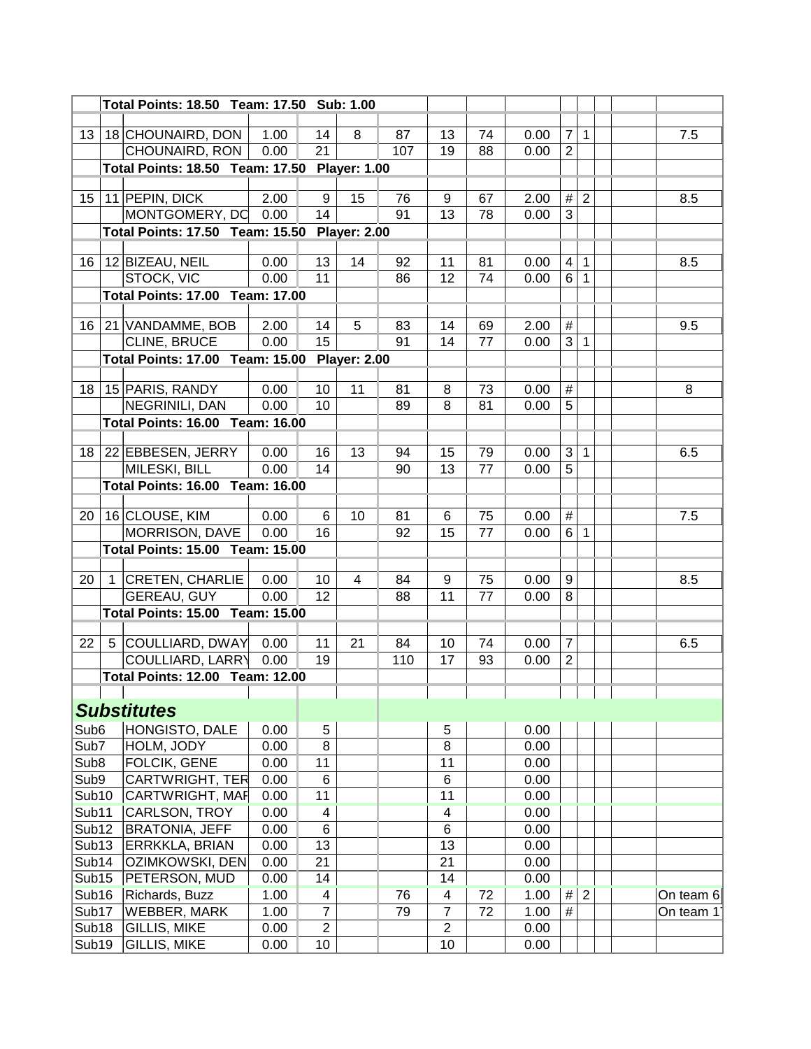|                   |              | Total Points: 18.50 Team: 17.50 Sub: 1.00    |      |                |    |     |                |    |              |                |                |           |
|-------------------|--------------|----------------------------------------------|------|----------------|----|-----|----------------|----|--------------|----------------|----------------|-----------|
| 13                |              | 18 CHOUNAIRD, DON                            | 1.00 | 14             | 8  | 87  | 13             | 74 | 0.00         | 7 <sup>1</sup> | $\mathbf{1}$   | 7.5       |
|                   |              | CHOUNAIRD, RON                               | 0.00 | 21             |    | 107 | 19             | 88 | 0.00         | $\overline{2}$ |                |           |
|                   |              | Total Points: 18.50 Team: 17.50 Player: 1.00 |      |                |    |     |                |    |              |                |                |           |
|                   |              |                                              |      |                |    |     |                |    |              |                |                |           |
| 15                |              | 11 PEPIN, DICK                               | 2.00 | 9              | 15 | 76  | 9              | 67 | 2.00         | #              | 2              | 8.5       |
|                   |              | MONTGOMERY, DC                               | 0.00 | 14             |    | 91  | 13             | 78 | 0.00         | 3              |                |           |
|                   |              | Total Points: 17.50 Team: 15.50 Player: 2.00 |      |                |    |     |                |    |              |                |                |           |
|                   |              |                                              |      |                |    |     |                |    |              |                |                |           |
| 16                |              | 12 BIZEAU, NEIL                              | 0.00 | 13             | 14 | 92  | 11             | 81 | 0.00         | $\overline{4}$ | $\mathbf{1}$   | 8.5       |
|                   |              | STOCK, VIC                                   | 0.00 | 11             |    | 86  | 12             | 74 | 0.00         | $6^{\circ}$    | $\mathbf{1}$   |           |
|                   |              | <b>Total Points: 17.00 Team: 17.00</b>       |      |                |    |     |                |    |              |                |                |           |
|                   |              |                                              |      |                |    |     |                |    |              |                |                |           |
| 16                |              | 21 VANDAMME, BOB                             | 2.00 | 14             | 5  | 83  | 14             | 69 | 2.00         | #              |                | 9.5       |
|                   |              | CLINE, BRUCE                                 | 0.00 | 15             |    | 91  | 14             | 77 | 0.00         | 3 <sup>1</sup> | $\mathbf{1}$   |           |
|                   |              | Total Points: 17.00 Team: 15.00 Player: 2.00 |      |                |    |     |                |    |              |                |                |           |
|                   |              |                                              |      |                |    |     |                |    |              |                |                |           |
| 18                |              | 15 PARIS, RANDY                              | 0.00 | 10             | 11 | 81  | 8              | 73 | 0.00         | $\#$           |                | 8         |
|                   |              | NEGRINILI, DAN                               | 0.00 | 10             |    | 89  | 8              | 81 | 0.00         | 5              |                |           |
|                   |              | <b>Total Points: 16.00 Team: 16.00</b>       |      |                |    |     |                |    |              |                |                |           |
|                   |              | 22 EBBESEN, JERRY                            | 0.00 | 16             |    | 94  | 15             | 79 |              | $\mathbf{3}$   | $\mathbf{1}$   |           |
| 18                |              | MILESKI, BILL                                | 0.00 | 14             | 13 | 90  | 13             |    | 0.00<br>0.00 | 5              |                | 6.5       |
|                   |              |                                              |      |                |    |     |                | 77 |              |                |                |           |
|                   |              | <b>Total Points: 16.00 Team: 16.00</b>       |      |                |    |     |                |    |              |                |                |           |
| 20                |              | 16 CLOUSE, KIM                               | 0.00 | 6              | 10 | 81  | 6              | 75 | 0.00         | #              |                | 7.5       |
|                   |              | MORRISON, DAVE                               | 0.00 | 16             |    | 92  | 15             | 77 | 0.00         | $6 \mid$       | $\mathbf{1}$   |           |
|                   |              | <b>Total Points: 15.00 Team: 15.00</b>       |      |                |    |     |                |    |              |                |                |           |
|                   |              |                                              |      |                |    |     |                |    |              |                |                |           |
| 20                | $\mathbf{1}$ | <b>CRETEN, CHARLIE</b>                       | 0.00 | 10             | 4  | 84  | 9              | 75 | 0.00         | 9              |                | 8.5       |
|                   |              | GEREAU, GUY                                  | 0.00 | 12             |    | 88  | 11             | 77 | 0.00         | 8              |                |           |
|                   |              | <b>Total Points: 15.00 Team: 15.00</b>       |      |                |    |     |                |    |              |                |                |           |
|                   |              |                                              |      |                |    |     |                |    |              |                |                |           |
| 22                |              | 5 COULLIARD, DWAY                            | 0.00 | 11             | 21 | 84  | 10             | 74 | 0.00         | $\overline{7}$ |                | 6.5       |
|                   |              | COULLIARD, LARRY                             | 0.00 | 19             |    | 110 | 17             | 93 | 0.00         | $\overline{2}$ |                |           |
|                   |              | <b>Total Points: 12.00 Team: 12.00</b>       |      |                |    |     |                |    |              |                |                |           |
|                   |              |                                              |      |                |    |     |                |    |              |                |                |           |
|                   |              | <b>Substitutes</b>                           |      |                |    |     |                |    |              |                |                |           |
| Sub <sub>6</sub>  |              | HONGISTO, DALE                               | 0.00 | 5              |    |     | $\,$ 5 $\,$    |    | 0.00         |                |                |           |
| Sub7              |              | HOLM, JODY                                   | 0.00 | $\,8\,$        |    |     | 8              |    | 0.00         |                |                |           |
| Sub <sub>8</sub>  |              | FOLCIK, GENE                                 | 0.00 | 11             |    |     | 11             |    | 0.00         |                |                |           |
| Sub9              |              | <b>CARTWRIGHT, TER</b>                       | 0.00 | $\,6$          |    |     | 6              |    | 0.00         |                |                |           |
| Sub10             |              | CARTWRIGHT, MAF                              | 0.00 | 11             |    |     | 11             |    | 0.00         |                |                |           |
| Sub11             |              | CARLSON, TROY                                | 0.00 | 4              |    |     | $\overline{4}$ |    | 0.00         |                |                |           |
| Sub <sub>12</sub> |              | <b>BRATONIA, JEFF</b>                        | 0.00 | $\,6$          |    |     | 6              |    | 0.00         |                |                |           |
| Sub <sub>13</sub> |              | ERRKKLA, BRIAN                               | 0.00 | 13             |    |     | 13             |    | 0.00         |                |                |           |
| Sub <sub>14</sub> |              | OZIMKOWSKI, DEN                              | 0.00 | 21             |    |     | 21             |    | 0.00         |                |                |           |
|                   |              | PETERSON, MUD                                |      | 14             |    |     | 14             |    | 0.00         |                |                |           |
| Sub15             |              |                                              | 0.00 |                |    |     | $\overline{4}$ |    |              |                |                |           |
| Sub <sub>16</sub> |              | Richards, Buzz                               | 1.00 | $\overline{4}$ |    | 76  | $\overline{7}$ | 72 | 1.00         | #              | $\overline{2}$ | On team 6 |
| Sub17             |              | <b>WEBBER, MARK</b>                          | 1.00 | 7              |    | 79  |                | 72 | 1.00         | $\#$           |                | On team 1 |
| Sub <sub>18</sub> |              | GILLIS, MIKE                                 | 0.00 | $\overline{2}$ |    |     | $\overline{2}$ |    | 0.00         |                |                |           |
| Sub <sub>19</sub> |              | GILLIS, MIKE                                 | 0.00 | 10             |    |     | 10             |    | 0.00         |                |                |           |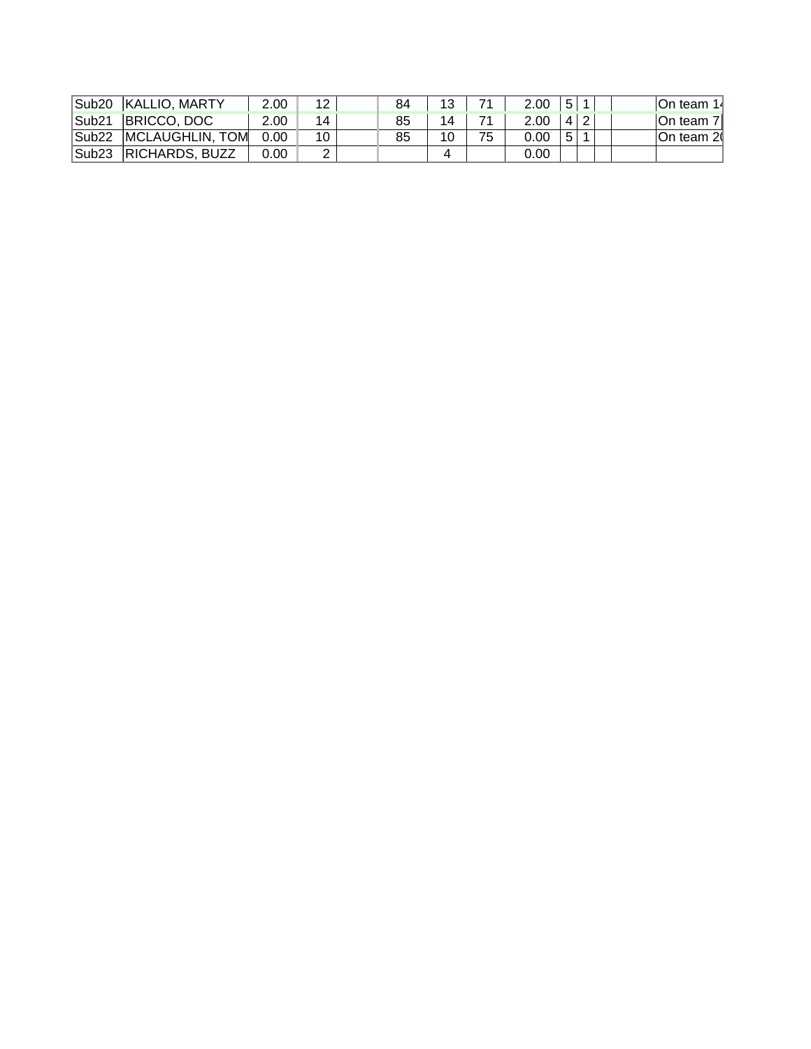| Sub20             | KALLIO, MARTY         | 2.00 | 12 <sup>2</sup> | 84 | 13 | 71 | 2.00 | 5 <sup>1</sup> |  | IOn team 14 |
|-------------------|-----------------------|------|-----------------|----|----|----|------|----------------|--|-------------|
| Sub <sub>21</sub> | BRICCO, DOC           | 2.00 | 14              | 85 | 14 | 71 | 2.00 | 4 2            |  | On team 7   |
| Sub <sub>22</sub> | MCLAUGHLIN, TOM       | 0.00 | 10              | 85 | 10 | 75 | 0.00 |                |  | IOn team 20 |
| Sub <sub>23</sub> | <b>RICHARDS, BUZZ</b> | 0.00 | ົ               |    |    |    | 0.00 |                |  |             |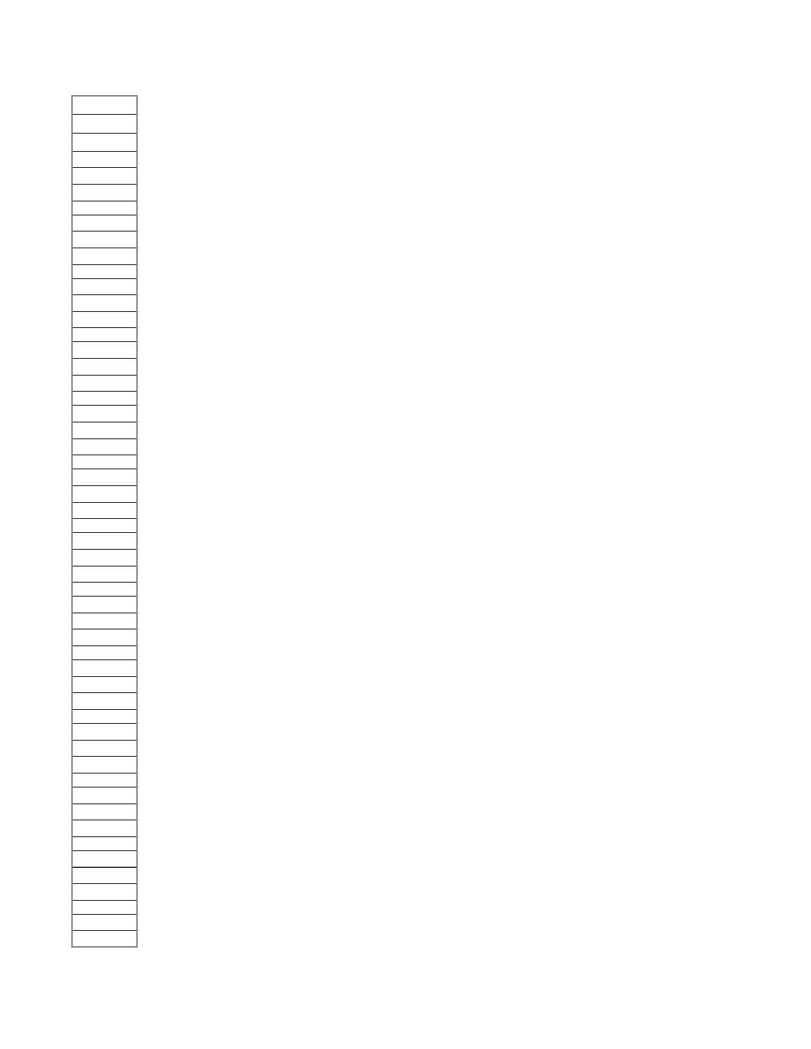